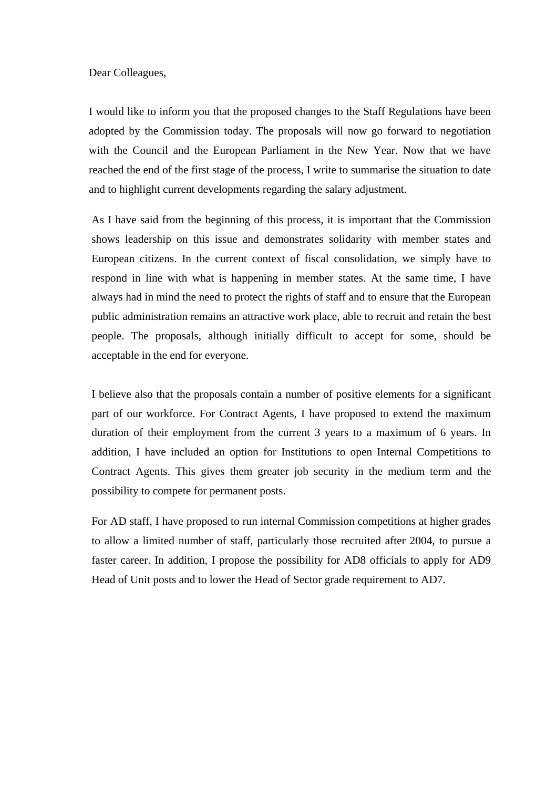Dear Colleagues,

I would like to inform you that the proposed changes to the Staff Regulations have been adopted by the Commission today. The proposals will now go forward to negotiation with the Council and the European Parliament in the New Year. Now that we have reached the end of the first stage of the process, I write to summarise the situation to date and to highlight current developments regarding the salary adjustment.

As I have said from the beginning of this process, it is important that the Commission shows leadership on this issue and demonstrates solidarity with member states and European citizens. In the current context of fiscal consolidation, we simply have to respond in line with what is happening in member states. At the same time, I have always had in mind the need to protect the rights of staff and to ensure that the European public administration remains an attractive work place, able to recruit and retain the best people. The proposals, although initially difficult to accept for some, should be acceptable in the end for everyone.

I believe also that the proposals contain a number of positive elements for a significant part of our workforce. For Contract Agents, I have proposed to extend the maximum duration of their employment from the current 3 years to a maximum of 6 years. In addition, I have included an option for Institutions to open Internal Competitions to Contract Agents. This gives them greater job security in the medium term and the possibility to compete for permanent posts.

For AD staff, I have proposed to run internal Commission competitions at higher grades to allow a limited number of staff, particularly those recruited after 2004, to pursue a faster career. In addition, I propose the possibility for AD8 officials to apply for AD9 Head of Unit posts and to lower the Head of Sector grade requirement to AD7.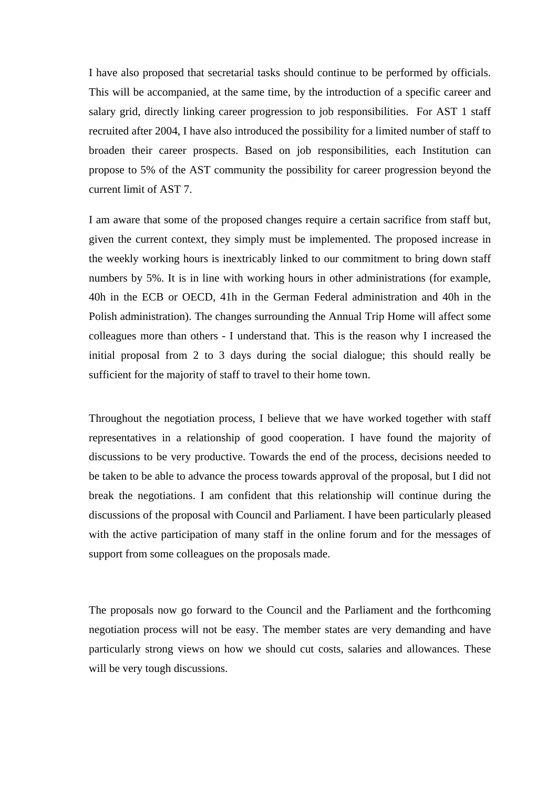I have also proposed that secretarial tasks should continue to be performed by officials. This will be accompanied, at the same time, by the introduction of a specific career and salary grid, directly linking career progression to job responsibilities. For AST 1 staff recruited after 2004, I have also introduced the possibility for a limited number of staff to broaden their career prospects. Based on job responsibilities, each Institution can propose to 5% of the AST community the possibility for career progression beyond the current limit of AST 7.

I am aware that some of the proposed changes require a certain sacrifice from staff but, given the current context, they simply must be implemented. The proposed increase in the weekly working hours is inextricably linked to our commitment to bring down staff numbers by 5%. It is in line with working hours in other administrations (for example, 40h in the ECB or OECD, 41h in the German Federal administration and 40h in the Polish administration). The changes surrounding the Annual Trip Home will affect some colleagues more than others - I understand that. This is the reason why I increased the initial proposal from 2 to 3 days during the social dialogue; this should really be sufficient for the majority of staff to travel to their home town.

Throughout the negotiation process, I believe that we have worked together with staff representatives in a relationship of good cooperation. I have found the majority of discussions to be very productive. Towards the end of the process, decisions needed to be taken to be able to advance the process towards approval of the proposal, but I did not break the negotiations. I am confident that this relationship will continue during the discussions of the proposal with Council and Parliament. I have been particularly pleased with the active participation of many staff in the online forum and for the messages of support from some colleagues on the proposals made.

The proposals now go forward to the Council and the Parliament and the forthcoming negotiation process will not be easy. The member states are very demanding and have particularly strong views on how we should cut costs, salaries and allowances. These will be very tough discussions.